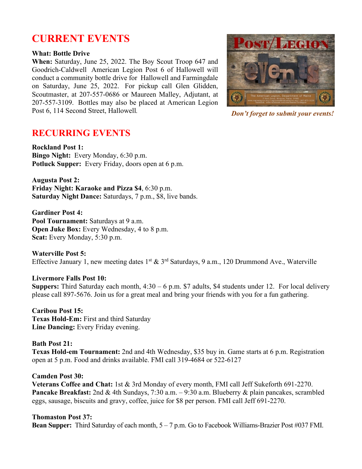# **CURRENT EVENTS**

#### **What: Bottle Drive**

**When:** Saturday, June 25, 2022. The Boy Scout Troop 647 and Goodrich-Caldwell American Legion Post 6 of Hallowell will conduct a community bottle drive for Hallowell and Farmingdale on Saturday, June 25, 2022. For pickup call Glen Glidden, Scoutmaster, at 207-557-0686 or Maureen Malley, Adjutant, at 207-557-3109. Bottles may also be placed at American Legion Post 6, 114 Second Street, Hallowell*.*



*Don't forget to submit your events!*

## **RECURRING EVENTS**

**Rockland Post 1: Bingo Night:** Every Monday, 6:30 p.m. **Potluck Supper:** Every Friday, doors open at 6 p.m.

**Augusta Post 2: Friday Night: Karaoke and Pizza \$4**, 6:30 p.m. **Saturday Night Dance:** Saturdays, 7 p.m., \$8, live bands.

**Gardiner Post 4:**  Pool Tournament: Saturdays at 9 a.m. **Open Juke Box:** Every Wednesday, 4 to 8 p.m. **Scat:** Every Monday, 5:30 p.m.

**Waterville Post 5:** Effective January 1, new meeting dates 1<sup>st</sup> & 3<sup>rd</sup> Saturdays, 9 a.m., 120 Drummond Ave., Waterville

#### **Livermore Falls Post 10:**

**Suppers:** Third Saturday each month, 4:30 – 6 p.m. \$7 adults, \$4 students under 12. For local delivery please call 897-5676. Join us for a great meal and bring your friends with you for a fun gathering.

**Caribou Post 15: Texas Hold-Em:** First and third Saturday **Line Dancing:** Every Friday evening.

## **Bath Post 21:**

**Texas Hold-em Tournament:** 2nd and 4th Wednesday, \$35 buy in. Game starts at 6 p.m. Registration open at 5 p.m. Food and drinks available. FMI call 319-4684 or 522-6127

## **Camden Post 30:**

**Veterans Coffee and Chat:** 1st & 3rd Monday of every month, FMI call Jeff Sukeforth 691-2270. **Pancake Breakfast:** 2nd & 4th Sundays, 7:30 a.m. – 9:30 a.m. Blueberry & plain pancakes, scrambled eggs, sausage, biscuits and gravy, coffee, juice for \$8 per person. FMI call Jeff 691-2270.

#### **Thomaston Post 37:**

**Bean Supper:** Third Saturday of each month, 5 – 7 p.m. Go to Facebook Williams-Brazier Post #037 FMI.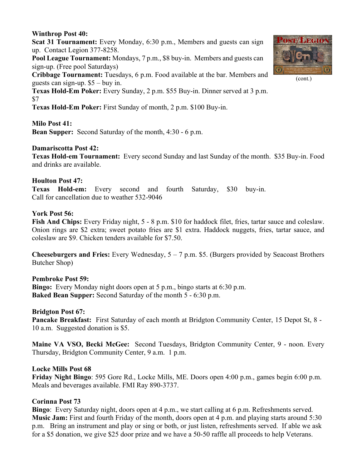#### **Winthrop Post 40:**

**Scat 31 Tournament:** Every Monday, 6:30 p.m., Members and guests can sign up. Contact Legion 377-8258.

**Pool League Tournament:** Mondays, 7 p.m., \$8 buy-in. Members and guests can sign-up. (Free pool Saturdays)

**Cribbage Tournament:** Tuesdays, 6 p.m. Food available at the bar. Members and guests can sign-up. \$5 – buy in.

**Texas Hold-Em Poker:** Every Sunday, 2 p.m. \$55 Buy-in. Dinner served at 3 p.m. \$7

**Texas Hold-Em Poker:** First Sunday of month, 2 p.m. \$100 Buy-in.

#### **Milo Post 41:**

**Bean Supper:** Second Saturday of the month, 4:30 - 6 p.m.

#### **Damariscotta Post 42:**

**Texas Hold-em Tournament:** Every second Sunday and last Sunday of the month. \$35 Buy-in. Food and drinks are available.

#### **Houlton Post 47:**

**Texas Hold-em:** Every second and fourth Saturday, \$30 buy-in. Call for cancellation due to weather 532-9046

#### **York Post 56:**

**Fish And Chips:** Every Friday night, 5 - 8 p.m. \$10 for haddock filet, fries, tartar sauce and coleslaw. Onion rings are \$2 extra; sweet potato fries are \$1 extra. Haddock nuggets, fries, tartar sauce, and coleslaw are \$9. Chicken tenders available for \$7.50.

**Cheeseburgers and Fries:** Every Wednesday, 5 – 7 p.m. \$5. (Burgers provided by Seacoast Brothers Butcher Shop)

#### **Pembroke Post 59:**

**Bingo:** Every Monday night doors open at 5 p.m., bingo starts at 6:30 p.m. **Baked Bean Supper:** Second Saturday of the month 5 - 6:30 p.m.

#### **Bridgton Post 67:**

**Pancake Breakfast:** First Saturday of each month at Bridgton Community Center, 15 Depot St, 8 - 10 a.m. Suggested donation is \$5.

**Maine VA VSO, Becki McGee:** Second Tuesdays, Bridgton Community Center, 9 - noon. Every Thursday, Bridgton Community Center, 9 a.m. 1 p.m.

#### **Locke Mills Post 68**

**Friday Night Bingo**: 595 Gore Rd., Locke Mills, ME. Doors open 4:00 p.m., games begin 6:00 p.m. Meals and beverages available. FMI Ray 890-3737.

#### **Corinna Post 73**

**Bingo**: Every Saturday night, doors open at 4 p.m., we start calling at 6 p.m. Refreshments served. **Music Jam:** First and fourth Friday of the month, doors open at 4 p.m. and playing starts around 5:30 p.m. Bring an instrument and play or sing or both, or just listen, refreshments served. If able we ask for a \$5 donation, we give \$25 door prize and we have a 50-50 raffle all proceeds to help Veterans.



(cont.)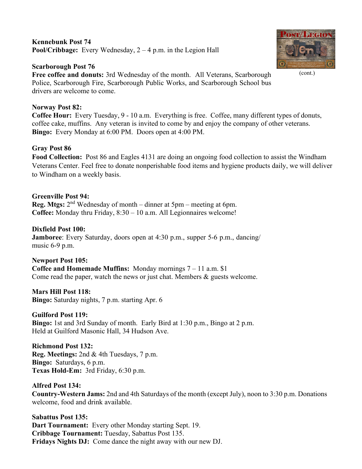## **Kennebunk Post 74 Pool/Cribbage:** Every Wednesday, 2 – 4 p.m. in the Legion Hall

## **Scarborough Post 76**

**Free coffee and donuts:** 3rd Wednesday of the month. All Veterans, Scarborough Police, Scarborough Fire, Scarborough Public Works, and Scarborough School bus drivers are welcome to come.

## **Norway Post 82:**

**Coffee Hour:** Every Tuesday, 9 - 10 a.m. Everything is free. Coffee, many different types of donuts, coffee cake, muffins. Any veteran is invited to come by and enjoy the company of other veterans. **Bingo:** Every Monday at 6:00 PM. Doors open at 4:00 PM.

## **Gray Post 86**

**Food Collection:** Post 86 and Eagles 4131 are doing an ongoing food collection to assist the Windham Veterans Center. Feel free to donate nonperishable food items and hygiene products daily, we will deliver to Windham on a weekly basis.

## **Greenville Post 94:**

**Reg. Mtgs:**  $2<sup>nd</sup>$  Wednesday of month – dinner at 5pm – meeting at 6pm. **Coffee:** Monday thru Friday, 8:30 – 10 a.m. All Legionnaires welcome!

## **Dixfield Post 100:**

**Jamboree**: Every Saturday, doors open at 4:30 p.m., supper 5-6 p.m., dancing/ music 6-9 p.m.

**Newport Post 105: Coffee and Homemade Muffins:** Monday mornings 7 – 11 a.m. \$1 Come read the paper, watch the news or just chat. Members & guests welcome.

**Mars Hill Post 118: Bingo:** Saturday nights, 7 p.m. starting Apr. 6

**Guilford Post 119: Bingo:** 1st and 3rd Sunday of month. Early Bird at 1:30 p.m., Bingo at 2 p.m. Held at Guilford Masonic Hall, 34 Hudson Ave.

**Richmond Post 132: Reg. Meetings:** 2nd & 4th Tuesdays, 7 p.m. **Bingo:** Saturdays, 6 p.m. **Texas Hold-Em:** 3rd Friday, 6:30 p.m.

**Alfred Post 134: Country-Western Jams:** 2nd and 4th Saturdays of the month (except July), noon to 3:30 p.m. Donations welcome, food and drink available.

**Sabattus Post 135: Dart Tournament:** Every other Monday starting Sept. 19. **Cribbage Tournament:** Tuesday, Sabattus Post 135. **Fridays Nights DJ:** Come dance the night away with our new DJ.



(cont.)